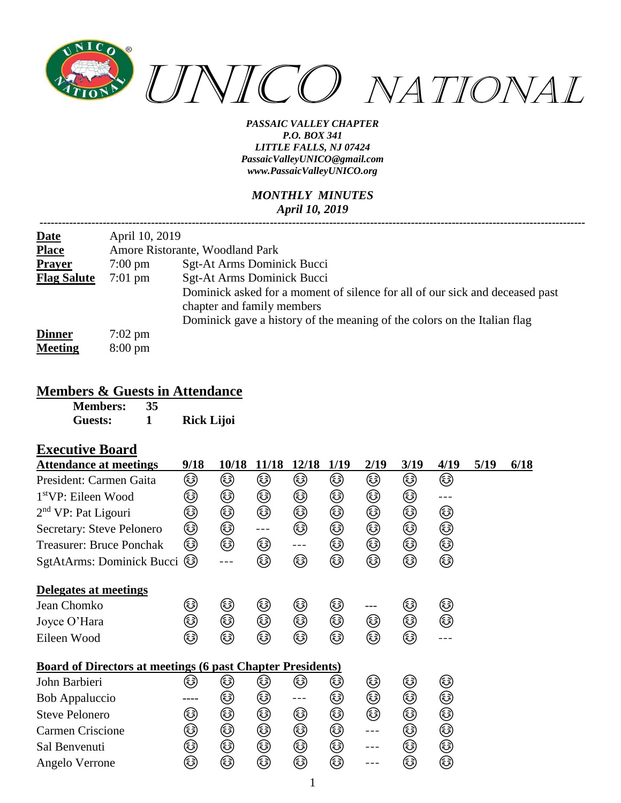

#### *MONTHLY MINUTES April 10, 2019*

| <b>Date</b>        | April 10, 2019                  |                                                                                                            |  |  |  |  |  |  |
|--------------------|---------------------------------|------------------------------------------------------------------------------------------------------------|--|--|--|--|--|--|
| <b>Place</b>       | Amore Ristorante, Woodland Park |                                                                                                            |  |  |  |  |  |  |
| Prayer             | $7:00 \text{ pm}$               | Sgt-At Arms Dominick Bucci                                                                                 |  |  |  |  |  |  |
| <b>Flag Salute</b> | $7:01 \text{ pm}$               | Sgt-At Arms Dominick Bucci                                                                                 |  |  |  |  |  |  |
|                    |                                 | Dominick asked for a moment of silence for all of our sick and deceased past<br>chapter and family members |  |  |  |  |  |  |
|                    |                                 | Dominick gave a history of the meaning of the colors on the Italian flag                                   |  |  |  |  |  |  |
| <b>Dinner</b>      | $7:02 \text{ pm}$               |                                                                                                            |  |  |  |  |  |  |
| <b>Meeting</b>     | $8:00 \text{ pm}$               |                                                                                                            |  |  |  |  |  |  |

#### **Members & Guests in Attendance**

| <b>Members:</b> | 35 |                   |
|-----------------|----|-------------------|
| Guests:         |    | <b>Rick Lijoi</b> |

### **Executive Board**

| <b>Attendance at meetings</b>                                     | 9/18 | 10/18 | 11/18 | 12/18 | 1/19 | 2/19    | 3/19 | 4/19 | 5/19 | 6/18 |
|-------------------------------------------------------------------|------|-------|-------|-------|------|---------|------|------|------|------|
| President: Carmen Gaita                                           | ☺    | ۵     | ٨     | ٨     | ٨    | ☺       | ٨    | ☺    |      |      |
| 1 <sup>st</sup> VP: Eileen Wood                                   | ☺    | ☺     | ☺     | ☺     | ٨    | ☺       | ☺    |      |      |      |
| $2nd$ VP: Pat Ligouri                                             | ☺    | ☺     | ☺     | ☺     | ☺    | ☺       | ☺    | ☺    |      |      |
| Secretary: Steve Pelonero                                         | ☺    | ☺     | $---$ | ٨     | ☺    | ☺       | ۵    | ☺    |      |      |
| <b>Treasurer: Bruce Ponchak</b>                                   | ☺    | ٨     | ☺     | $---$ | ☺    | ☺       | ☺    | ☺    |      |      |
| SgtAtArms: Dominick Bucci                                         | ම්)  |       | ☺     | ۵     | ٨    | ٨       | ٨    | ٨    |      |      |
| Delegates at meetings                                             |      |       |       |       |      |         |      |      |      |      |
| Jean Chomko                                                       | ٨    | ☺     | ☺     | ☺     | ☺    |         | ☺    | ☺    |      |      |
| Joyce O'Hara                                                      | ☺    | ☺     | ☺     | ☺     | ☺    | ☺       | ☺    | ☺    |      |      |
| Eileen Wood                                                       | ☺    | ☞     | ٨     | ٨     | ٨    | ٨       | ٨    |      |      |      |
| <b>Board of Directors at meetings (6 past Chapter Presidents)</b> |      |       |       |       |      |         |      |      |      |      |
| John Barbieri                                                     | کی)  | کی    | کی    | کی    | کی   | ☺       | ☺    | ☺    |      |      |
| <b>Bob Appaluccio</b>                                             | ---- | ☺     | ☺     | ---   | ☺    | ☺       | ☺    | ☺    |      |      |
| <b>Steve Pelonero</b>                                             | ☺    | ☺     | ٨     | ☺     | ٨    | ٨       | ۵    | ☺    |      |      |
| <b>Carmen Criscione</b>                                           | ☺    | ٨     | ☺     | ☺     | ٨    | $- - -$ | ۵    | ☺    |      |      |
| Sal Benvenuti                                                     | ٨    | ☺     | ☺     | ۵     | ☺    | ---     | ۵    | ☺    |      |      |
| Angelo Verrone                                                    | ☺    | ☺     | ☺     | ☺     | ☺    |         | ☺    | ☺    |      |      |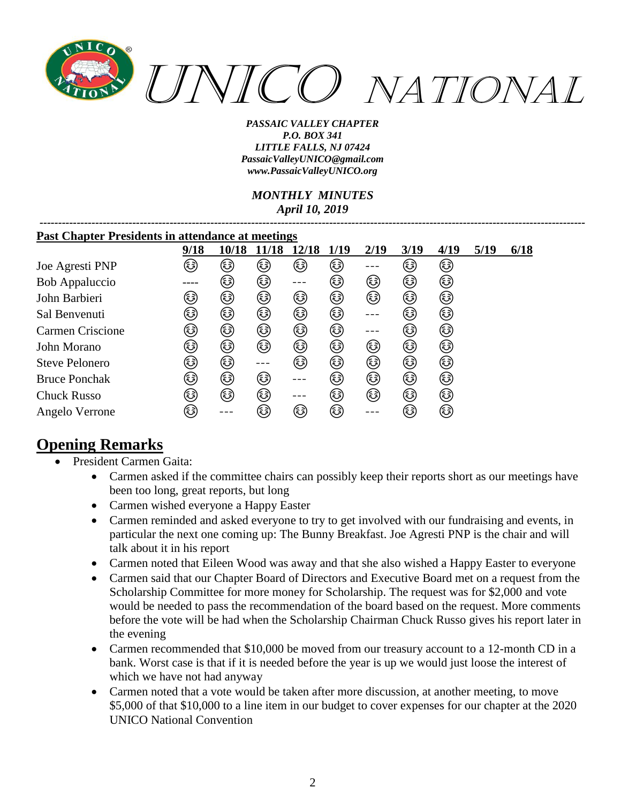

*MONTHLY MINUTES April 10, 2019*

*---------------------------------------------------------------------------------------------------------------------------------------------------*

| <b>Past Chapter Presidents in attendance at meetings</b> |      |       |        |       |        |      |        |      |      |      |
|----------------------------------------------------------|------|-------|--------|-------|--------|------|--------|------|------|------|
|                                                          | 9/18 | 10/18 | 11/18  | 12/18 | 1/19   | 2/19 | 3/19   | 4/19 | 5/19 | 6/18 |
| Joe Agresti PNP                                          | کا   | کہ)   | کی     | کا    | ٨      |      | کہ)    | ٨    |      |      |
| Bob Appaluccio                                           |      | (هَ)  | ☞      |       | (هَءَ) | ٨    | ٨      | ٨    |      |      |
| John Barbieri                                            | ٤    | ٨     | ٨      | ٨     | ٨      | ٨    | ٤      | ٤    |      |      |
| Sal Benvenuti                                            | کی   | ☺     | ٨      | ٨     | ٨      |      | (هَءَ) | کی   |      |      |
| Carmen Criscione                                         | کہ)  | ٤     | ٤      | کہ)   | هٔ)    |      | (هَءَ) | (هَ) |      |      |
| John Morano                                              | ٨    | ٨     | ٨      | ☺     | ٨      | ٨    | ٨      | ٨    |      |      |
| <b>Steve Pelonero</b>                                    | ٤    | ☞     |        | کہ)   | ٨      | ٨    | ٨      | ٨    |      |      |
| <b>Bruce Ponchak</b>                                     | (هَ) | ☞     | ٤      |       | ه      | ☞    | ٤      | ٤    |      |      |
| <b>Chuck Russo</b>                                       | (هَ) | ٤     | ٤      |       | ه      | ☞    | (هَ)   | ٤    |      |      |
| Angelo Verrone                                           | کہ)  |       | (هَءَ) | ه     | (هَءَ) |      | (هَءَ) | کی   |      |      |

# **Opening Remarks**

- President Carmen Gaita:
	- Carmen asked if the committee chairs can possibly keep their reports short as our meetings have been too long, great reports, but long
	- Carmen wished everyone a Happy Easter
	- Carmen reminded and asked everyone to try to get involved with our fundraising and events, in particular the next one coming up: The Bunny Breakfast. Joe Agresti PNP is the chair and will talk about it in his report
	- Carmen noted that Eileen Wood was away and that she also wished a Happy Easter to everyone
	- Carmen said that our Chapter Board of Directors and Executive Board met on a request from the Scholarship Committee for more money for Scholarship. The request was for \$2,000 and vote would be needed to pass the recommendation of the board based on the request. More comments before the vote will be had when the Scholarship Chairman Chuck Russo gives his report later in the evening
	- Carmen recommended that \$10,000 be moved from our treasury account to a 12-month CD in a bank. Worst case is that if it is needed before the year is up we would just loose the interest of which we have not had anyway
	- Carmen noted that a vote would be taken after more discussion, at another meeting, to move \$5,000 of that \$10,000 to a line item in our budget to cover expenses for our chapter at the 2020 UNICO National Convention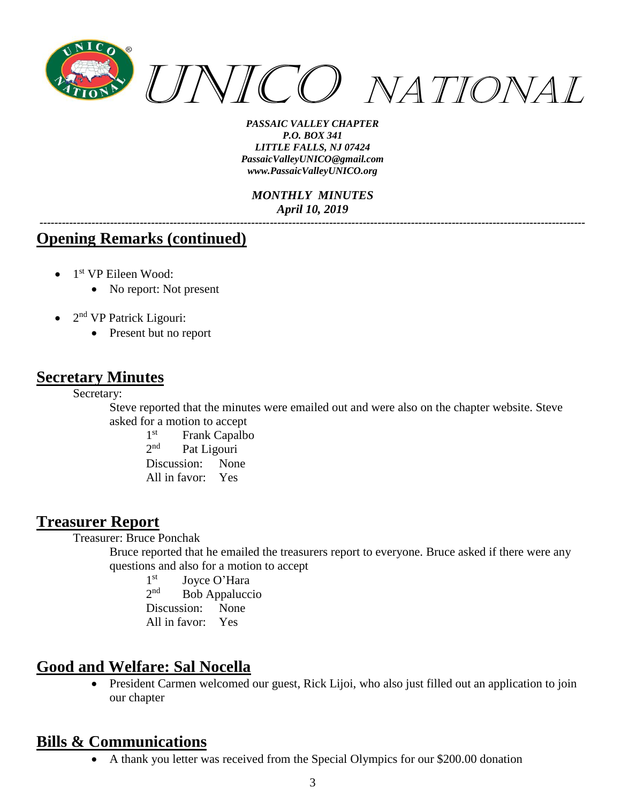

*MONTHLY MINUTES April 10, 2019*

*---------------------------------------------------------------------------------------------------------------------------------------------------*

## **Opening Remarks (continued)**

- 1<sup>st</sup> VP Eileen Wood:
	- No report: Not present
- $\bullet$  2<sup>nd</sup> VP Patrick Ligouri:
	- Present but no report

### **Secretary Minutes**

Secretary:

Steve reported that the minutes were emailed out and were also on the chapter website. Steve asked for a motion to accept

 $1<sup>st</sup>$ Frank Capalbo  $2^{nd}$ Pat Ligouri Discussion: None All in favor: Yes

## **Treasurer Report**

Treasurer: Bruce Ponchak

Bruce reported that he emailed the treasurers report to everyone. Bruce asked if there were any questions and also for a motion to accept

 $1<sup>st</sup>$ Joyce O'Hara  $2<sub>nd</sub>$ Bob Appaluccio Discussion: None All in favor: Yes

# **Good and Welfare: Sal Nocella**

• President Carmen welcomed our guest, Rick Lijoi, who also just filled out an application to join our chapter

# **Bills & Communications**

• A thank you letter was received from the Special Olympics for our \$200.00 donation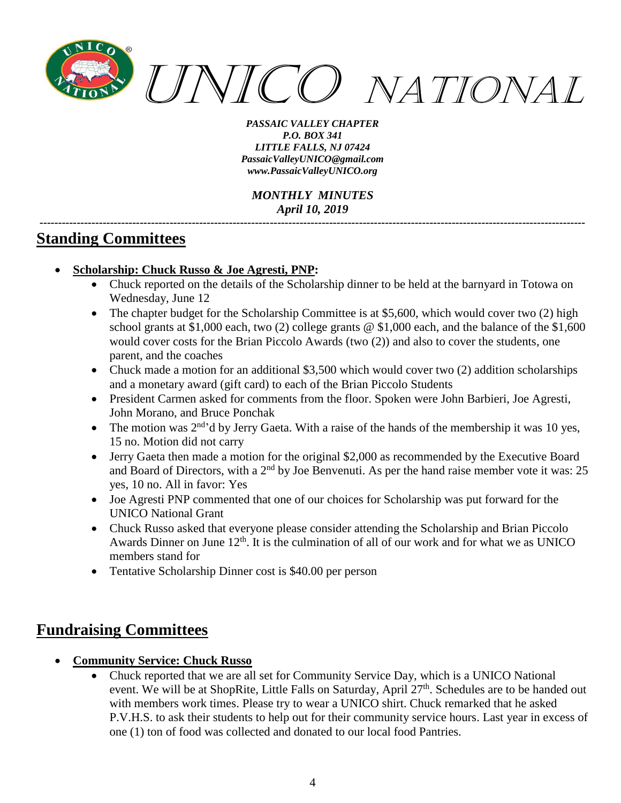

*MONTHLY MINUTES April 10, 2019 ---------------------------------------------------------------------------------------------------------------------------------------------------*

# **Standing Committees**

- **Scholarship: Chuck Russo & Joe Agresti, PNP:**
	- Chuck reported on the details of the Scholarship dinner to be held at the barnyard in Totowa on Wednesday, June 12
	- The chapter budget for the Scholarship Committee is at \$5,600, which would cover two (2) high school grants at \$1,000 each, two (2) college grants @ \$1,000 each, and the balance of the \$1,600 would cover costs for the Brian Piccolo Awards (two (2)) and also to cover the students, one parent, and the coaches
	- Chuck made a motion for an additional \$3,500 which would cover two (2) addition scholarships and a monetary award (gift card) to each of the Brian Piccolo Students
	- President Carmen asked for comments from the floor. Spoken were John Barbieri, Joe Agresti, John Morano, and Bruce Ponchak
	- The motion was  $2<sup>nd</sup>$ <sup>d</sup> by Jerry Gaeta. With a raise of the hands of the membership it was 10 yes, 15 no. Motion did not carry
	- Jerry Gaeta then made a motion for the original \$2,000 as recommended by the Executive Board and Board of Directors, with a 2<sup>nd</sup> by Joe Benvenuti. As per the hand raise member vote it was: 25 yes, 10 no. All in favor: Yes
	- Joe Agresti PNP commented that one of our choices for Scholarship was put forward for the UNICO National Grant
	- Chuck Russo asked that everyone please consider attending the Scholarship and Brian Piccolo Awards Dinner on June  $12<sup>th</sup>$ . It is the culmination of all of our work and for what we as UNICO members stand for
	- Tentative Scholarship Dinner cost is \$40.00 per person

# **Fundraising Committees**

- **Community Service: Chuck Russo**
	- Chuck reported that we are all set for Community Service Day, which is a UNICO National event. We will be at ShopRite, Little Falls on Saturday, April 27<sup>th</sup>. Schedules are to be handed out with members work times. Please try to wear a UNICO shirt. Chuck remarked that he asked P.V.H.S. to ask their students to help out for their community service hours. Last year in excess of one (1) ton of food was collected and donated to our local food Pantries.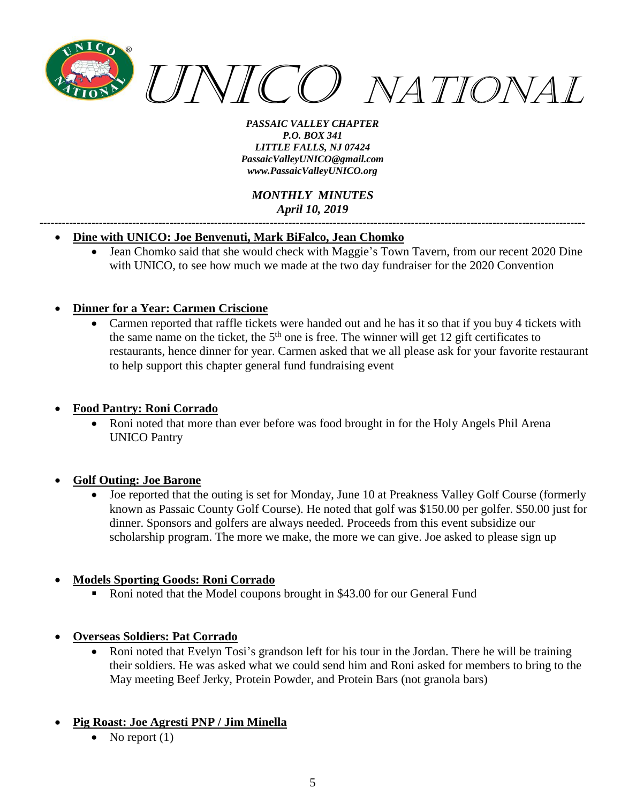

#### *MONTHLY MINUTES April 10, 2019*

*---------------------------------------------------------------------------------------------------------------------------------------------------*

#### • **Dine with UNICO: Joe Benvenuti, Mark BiFalco, Jean Chomko**

• Jean Chomko said that she would check with Maggie's Town Tavern, from our recent 2020 Dine with UNICO, to see how much we made at the two day fundraiser for the 2020 Convention

#### • **Dinner for a Year: Carmen Criscione**

• Carmen reported that raffle tickets were handed out and he has it so that if you buy 4 tickets with the same name on the ticket, the  $5<sup>th</sup>$  one is free. The winner will get 12 gift certificates to restaurants, hence dinner for year. Carmen asked that we all please ask for your favorite restaurant to help support this chapter general fund fundraising event

#### • **Food Pantry: Roni Corrado**

• Roni noted that more than ever before was food brought in for the Holy Angels Phil Arena UNICO Pantry

#### • **Golf Outing: Joe Barone**

• Joe reported that the outing is set for Monday, June 10 at Preakness Valley Golf Course (formerly known as Passaic County Golf Course). He noted that golf was \$150.00 per golfer. \$50.00 just for dinner. Sponsors and golfers are always needed. Proceeds from this event subsidize our scholarship program. The more we make, the more we can give. Joe asked to please sign up

#### • **Models Sporting Goods: Roni Corrado**

Roni noted that the Model coupons brought in \$43.00 for our General Fund

#### • **Overseas Soldiers: Pat Corrado**

• Roni noted that Evelyn Tosi's grandson left for his tour in the Jordan. There he will be training their soldiers. He was asked what we could send him and Roni asked for members to bring to the May meeting Beef Jerky, Protein Powder, and Protein Bars (not granola bars)

#### • **Pig Roast: Joe Agresti PNP / Jim Minella**

• No report  $(1)$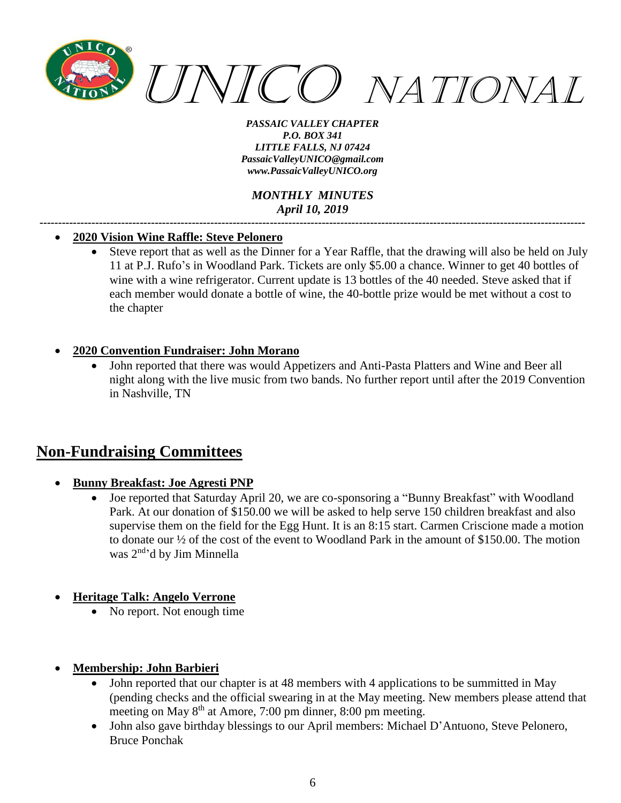

*MONTHLY MINUTES April 10, 2019*

*---------------------------------------------------------------------------------------------------------------------------------------------------*

#### • **2020 Vision Wine Raffle: Steve Pelonero**

• Steve report that as well as the Dinner for a Year Raffle, that the drawing will also be held on July 11 at P.J. Rufo's in Woodland Park. Tickets are only \$5.00 a chance. Winner to get 40 bottles of wine with a wine refrigerator. Current update is 13 bottles of the 40 needed. Steve asked that if each member would donate a bottle of wine, the 40-bottle prize would be met without a cost to the chapter

#### • **2020 Convention Fundraiser: John Morano**

• John reported that there was would Appetizers and Anti-Pasta Platters and Wine and Beer all night along with the live music from two bands. No further report until after the 2019 Convention in Nashville, TN

# **Non-Fundraising Committees**

#### • **Bunny Breakfast: Joe Agresti PNP**

• Joe reported that Saturday April 20, we are co-sponsoring a "Bunny Breakfast" with Woodland Park. At our donation of \$150.00 we will be asked to help serve 150 children breakfast and also supervise them on the field for the Egg Hunt. It is an 8:15 start. Carmen Criscione made a motion to donate our ½ of the cost of the event to Woodland Park in the amount of \$150.00. The motion was 2nd 'd by Jim Minnella

#### • **Heritage Talk: Angelo Verrone**

• No report. Not enough time

#### • **Membership: John Barbieri**

- John reported that our chapter is at 48 members with 4 applications to be summitted in May (pending checks and the official swearing in at the May meeting. New members please attend that meeting on May 8<sup>th</sup> at Amore, 7:00 pm dinner, 8:00 pm meeting.
- John also gave birthday blessings to our April members: Michael D'Antuono, Steve Pelonero, Bruce Ponchak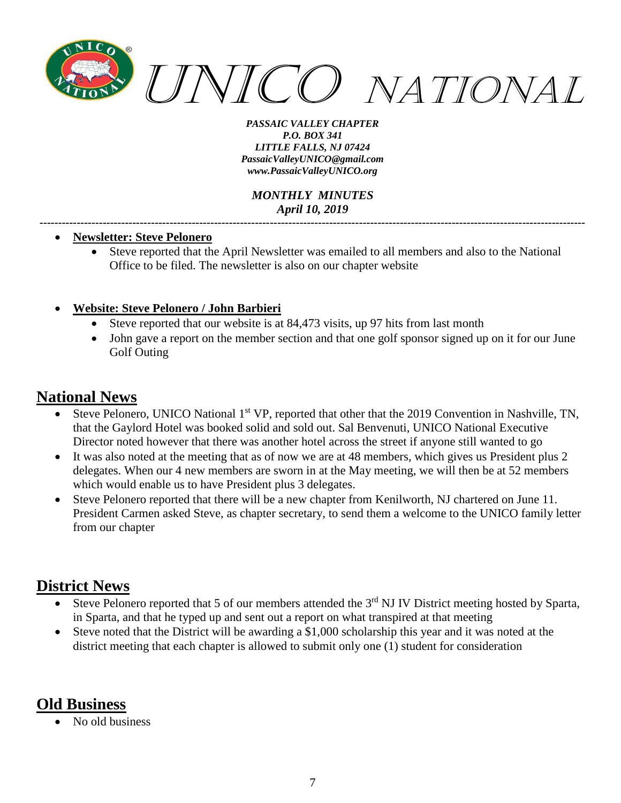

*MONTHLY MINUTES April 10, 2019*

*---------------------------------------------------------------------------------------------------------------------------------------------------*

#### • **Newsletter: Steve Pelonero**

• Steve reported that the April Newsletter was emailed to all members and also to the National Office to be filed. The newsletter is also on our chapter website

#### • **Website: Steve Pelonero / John Barbieri**

- Steve reported that our website is at 84,473 visits, up 97 hits from last month
- John gave a report on the member section and that one golf sponsor signed up on it for our June Golf Outing

# **National News**

- Steve Pelonero, UNICO National 1<sup>st</sup> VP, reported that other that the 2019 Convention in Nashville, TN, that the Gaylord Hotel was booked solid and sold out. Sal Benvenuti, UNICO National Executive Director noted however that there was another hotel across the street if anyone still wanted to go
- It was also noted at the meeting that as of now we are at 48 members, which gives us President plus 2 delegates. When our 4 new members are sworn in at the May meeting, we will then be at 52 members which would enable us to have President plus 3 delegates.
- Steve Pelonero reported that there will be a new chapter from Kenilworth, NJ chartered on June 11. President Carmen asked Steve, as chapter secretary, to send them a welcome to the UNICO family letter from our chapter

# **District News**

- Steve Pelonero reported that 5 of our members attended the  $3<sup>rd</sup>$  NJ IV District meeting hosted by Sparta, in Sparta, and that he typed up and sent out a report on what transpired at that meeting
- Steve noted that the District will be awarding a \$1,000 scholarship this year and it was noted at the district meeting that each chapter is allowed to submit only one (1) student for consideration

# **Old Business**

• No old business